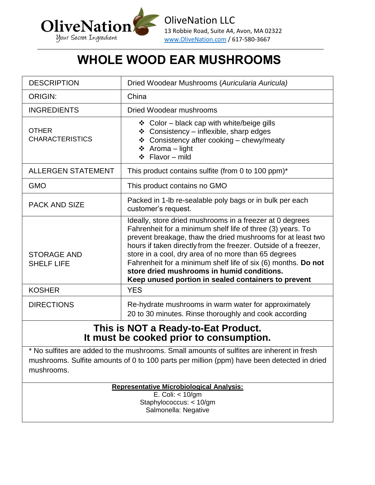

# **WHOLE WOOD EAR MUSHROOMS**

| <b>DESCRIPTION</b>                      | Dried Woodear Mushrooms (Auricularia Auricula)                                                                                                                                                                                                                                                                                                                                                                                                                                         |  |  |  |
|-----------------------------------------|----------------------------------------------------------------------------------------------------------------------------------------------------------------------------------------------------------------------------------------------------------------------------------------------------------------------------------------------------------------------------------------------------------------------------------------------------------------------------------------|--|--|--|
| <b>ORIGIN:</b>                          | China                                                                                                                                                                                                                                                                                                                                                                                                                                                                                  |  |  |  |
| <b>INGREDIENTS</b>                      | <b>Dried Woodear mushrooms</b>                                                                                                                                                                                                                                                                                                                                                                                                                                                         |  |  |  |
| <b>OTHER</b><br><b>CHARACTERISTICS</b>  | ❖ Color - black cap with white/beige gills<br>❖ Consistency - inflexible, sharp edges<br>❖ Consistency after cooking - chewy/meaty<br>❖ Aroma - light<br>$\div$ Flavor – mild                                                                                                                                                                                                                                                                                                          |  |  |  |
| <b>ALLERGEN STATEMENT</b>               | This product contains sulfite (from 0 to 100 ppm)*                                                                                                                                                                                                                                                                                                                                                                                                                                     |  |  |  |
| <b>GMO</b>                              | This product contains no GMO                                                                                                                                                                                                                                                                                                                                                                                                                                                           |  |  |  |
| <b>PACK AND SIZE</b>                    | Packed in 1-lb re-sealable poly bags or in bulk per each<br>customer's request.                                                                                                                                                                                                                                                                                                                                                                                                        |  |  |  |
| <b>STORAGE AND</b><br><b>SHELF LIFE</b> | Ideally, store dried mushrooms in a freezer at 0 degrees<br>Fahrenheit for a minimum shelf life of three (3) years. To<br>prevent breakage, thaw the dried mushrooms for at least two<br>hours if taken directly from the freezer. Outside of a freezer,<br>store in a cool, dry area of no more than 65 degrees<br>Fahrenheit for a minimum shelf life of six (6) months. Do not<br>store dried mushrooms in humid conditions.<br>Keep unused portion in sealed containers to prevent |  |  |  |
| <b>KOSHER</b>                           | <b>YES</b>                                                                                                                                                                                                                                                                                                                                                                                                                                                                             |  |  |  |
| <b>DIRECTIONS</b>                       | Re-hydrate mushrooms in warm water for approximately<br>20 to 30 minutes. Rinse thoroughly and cook according                                                                                                                                                                                                                                                                                                                                                                          |  |  |  |
| This is NOT a Ready-to-Eat Product.     |                                                                                                                                                                                                                                                                                                                                                                                                                                                                                        |  |  |  |

### **It must be cooked prior to consumption.**

\* No sulfites are added to the mushrooms. Small amounts of sulfites are inherent in fresh mushrooms. Sulfite amounts of 0 to 100 parts per million (ppm) have been detected in dried mushrooms.

**Representative Microbiological Analysis:**

E. Coli: < 10/gm Staphylococcus: < 10/gm Salmonella: Negative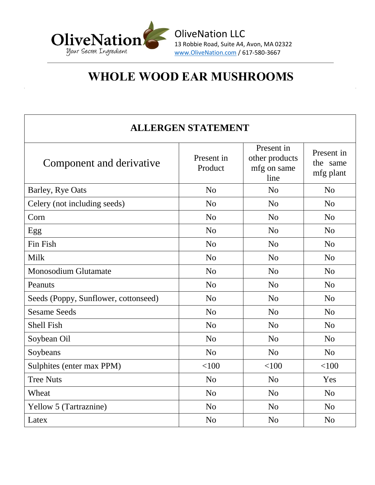

OliveNation LLC 13 Robbie Road, Suite A4, Avon, MA 02322 www.OliveNation.com / 617-580-3667

## **WHOLE WOOD EAR MUSHROOMS**

#### **ALLERGEN STATEMENT**

| Component and derivative             | Present in<br>Present in<br>other products<br>Product<br>mfg on same |                | Present in<br>the same<br>mfg plant |
|--------------------------------------|----------------------------------------------------------------------|----------------|-------------------------------------|
| Barley, Rye Oats                     | N <sub>o</sub>                                                       | N <sub>o</sub> |                                     |
| Celery (not including seeds)         | N <sub>0</sub><br>N <sub>o</sub>                                     |                | N <sub>o</sub>                      |
| Corn                                 | N <sub>0</sub>                                                       | N <sub>o</sub> | N <sub>o</sub>                      |
| Egg                                  | N <sub>0</sub>                                                       | N <sub>o</sub> | N <sub>o</sub>                      |
| Fin Fish                             | N <sub>o</sub><br>N <sub>o</sub>                                     |                | N <sub>o</sub>                      |
| Milk                                 | N <sub>0</sub>                                                       | N <sub>o</sub> | N <sub>o</sub>                      |
| <b>Monosodium Glutamate</b>          | N <sub>0</sub>                                                       | N <sub>o</sub> | N <sub>o</sub>                      |
| Peanuts                              | N <sub>0</sub>                                                       | N <sub>o</sub> | N <sub>o</sub>                      |
| Seeds (Poppy, Sunflower, cottonseed) | N <sub>o</sub>                                                       | N <sub>o</sub> |                                     |
| <b>Sesame Seeds</b>                  | N <sub>o</sub>                                                       | N <sub>o</sub> |                                     |
| <b>Shell Fish</b>                    | N <sub>0</sub>                                                       | N <sub>o</sub> | N <sub>0</sub>                      |
| Soybean Oil                          | N <sub>o</sub>                                                       | N <sub>o</sub> | N <sub>o</sub>                      |
| Soybeans                             | N <sub>o</sub>                                                       | N <sub>o</sub> | N <sub>o</sub>                      |
| Sulphites (enter max PPM)            | < 100                                                                | < 100          | < 100                               |
| <b>Tree Nuts</b>                     | N <sub>o</sub>                                                       | N <sub>o</sub> | Yes                                 |
| Wheat                                | N <sub>o</sub>                                                       | N <sub>0</sub> | N <sub>o</sub>                      |
| <b>Yellow 5 (Tartraznine)</b>        | N <sub>o</sub>                                                       | N <sub>o</sub> | N <sub>o</sub>                      |
| Latex                                | N <sub>o</sub>                                                       | N <sub>o</sub> | N <sub>o</sub>                      |